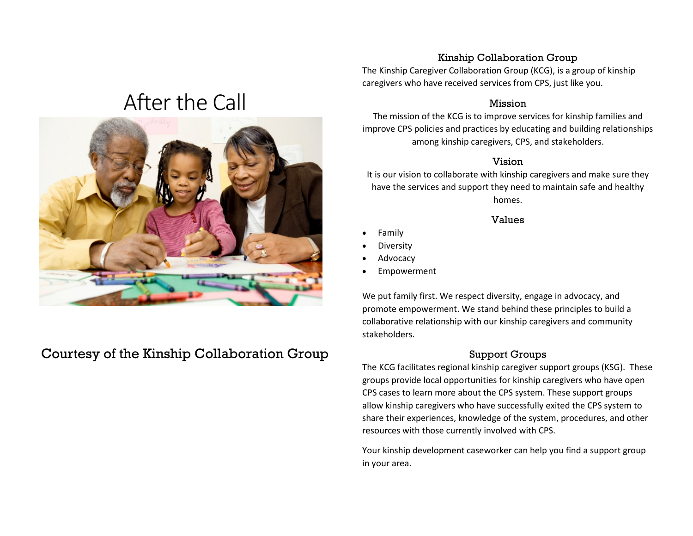# After the Call



# Courtesy of the Kinship Collaboration Group

#### Kinship Collaboration Group

The Kinship Caregiver Collaboration Group (KCG), is a group of kinship caregivers who have received services from CPS, just like you.

#### Mission

The mission of the KCG is to improve services for kinship families and improve CPS policies and practices by educating and building relationships among kinship caregivers, CPS, and stakeholders.

#### Vision

It is our vision to collaborate with kinship caregivers and make sure they have the services and support they need to maintain safe and healthy homes.

#### Values

- Family
- **Diversity**
- **Advocacy**
- **Empowerment**

We put family first. We respect diversity, engage in advocacy, and promote empowerment. We stand behind these principles to build a collaborative relationship with our kinship caregivers and community stakeholders.

#### Support Groups

The KCG facilitates regional kinship caregiver support groups (KSG). These groups provide local opportunities for kinship caregivers who have open CPS cases to learn more about the CPS system. These support groups allow kinship caregivers who have successfully exited the CPS system to share their experiences, knowledge of the system, procedures, and other resources with those currently involved with CPS.

Your kinship development caseworker can help you find a support group in your area.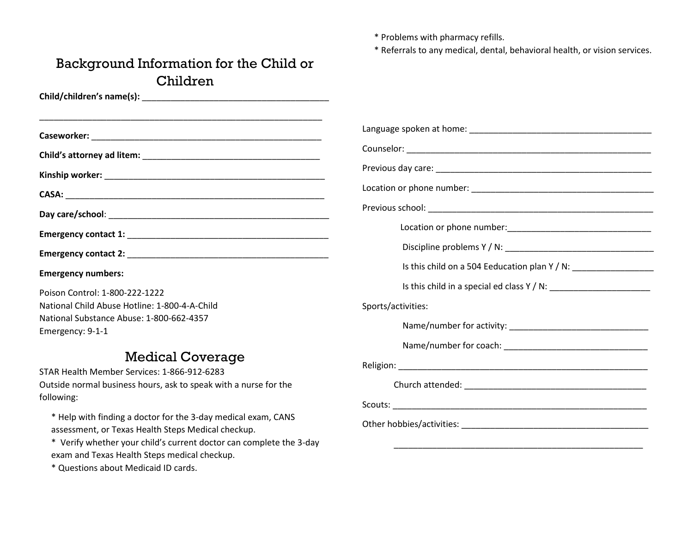\* Problems with pharmacy refills.

\* Referrals to any medical, dental, behavioral health, or vision services.

# Background Information for the Child or Children

| <u> 1989 - Johann John Stone, menydd y cyfeiriad y cyfeiriad y cyfeiriad y cyfeiriad y cyfeiriad y cyfeiriad y c</u> | Language spoken at he   |  |  |
|----------------------------------------------------------------------------------------------------------------------|-------------------------|--|--|
|                                                                                                                      | Counselor: ___________  |  |  |
|                                                                                                                      | Previous day care: ___  |  |  |
|                                                                                                                      | Location or phone nur   |  |  |
|                                                                                                                      | Previous school:        |  |  |
|                                                                                                                      | Location or             |  |  |
|                                                                                                                      | Discipline p            |  |  |
| <b>Emergency numbers:</b>                                                                                            | Is this child           |  |  |
| Poison Control: 1-800-222-1222                                                                                       | Is this child           |  |  |
| National Child Abuse Hotline: 1-800-4-A-Child                                                                        | Sports/activities:      |  |  |
| National Substance Abuse: 1-800-662-4357<br>Emergency: 9-1-1                                                         | Name/num                |  |  |
|                                                                                                                      | Name/num                |  |  |
| <b>Medical Coverage</b>                                                                                              | Religion: _____________ |  |  |
| STAR Health Member Services: 1-866-912-6283                                                                          |                         |  |  |
| Outside normal business hours, ask to speak with a nurse for the                                                     | Church attend           |  |  |

following: \* Help with finding a doctor for the 3-day medical exam, CANS

assessment, or Texas Health Steps Medical checkup.

\* Verify whether your child's current doctor can complete the 3-day exam and Texas Health Steps medical checkup.

\* Questions about Medicaid ID cards.

| Sports/activities: |  |  |  |  |
|--------------------|--|--|--|--|
|                    |  |  |  |  |
|                    |  |  |  |  |
|                    |  |  |  |  |
|                    |  |  |  |  |
|                    |  |  |  |  |
|                    |  |  |  |  |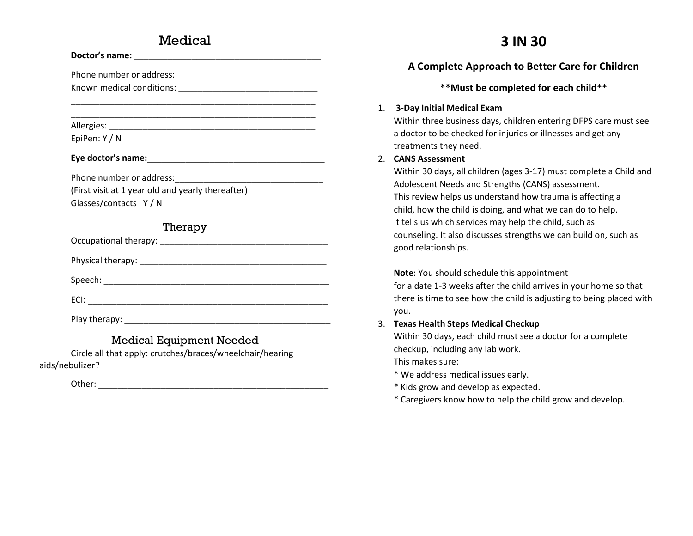## **Medical**

| EpiPen: Y / N        |                                                                              |
|----------------------|------------------------------------------------------------------------------|
|                      |                                                                              |
|                      |                                                                              |
|                      | (First visit at 1 year old and yearly thereafter)                            |
| Glasses/contacts Y/N |                                                                              |
|                      | Therapy                                                                      |
|                      |                                                                              |
|                      |                                                                              |
|                      |                                                                              |
|                      |                                                                              |
|                      |                                                                              |
|                      | $\mathbf{r}$ , and $\mathbf{r}$ , $\mathbf{r}$ , $\mathbf{r}$ , $\mathbf{r}$ |

## Medical Equipment Needed

Circle all that apply: crutches/braces/wheelchair/hearing aids/nebulizer?

Other: \_\_\_\_\_\_\_\_\_\_\_\_\_\_\_\_\_\_\_\_\_\_\_\_\_\_\_\_\_\_\_\_\_\_\_\_\_\_\_\_\_\_\_\_\_\_\_\_

# **3 IN 30**

## **A Complete Approach to Better Care for Children**

#### **\*\*Must be completed for each child\*\***

#### 1. **3-Day Initial Medical Exam**

Within three business days, children entering DFPS care must see a doctor to be checked for injuries or illnesses and get any treatments they need.

#### 2. **CANS Assessment**

Within 30 days, all children (ages 3-17) must complete a Child and Adolescent Needs and Strengths (CANS) assessment. This review helps us understand how trauma is affecting a child, how the child is doing, and what we can do to help. It tells us which services may help the child, such as counseling. It also discusses strengths we can build on, such as good relationships.

#### **Note**: You should schedule this appointment

for a date 1-3 weeks after the child arrives in your home so that there is time to see how the child is adjusting to being placed with you.

#### 3. **Texas Health Steps Medical Checkup**

Within 30 days, each child must see a doctor for a complete checkup, including any lab work.

This makes sure:

- \* We address medical issues early.
- \* Kids grow and develop as expected.
- \* Caregivers know how to help the child grow and develop.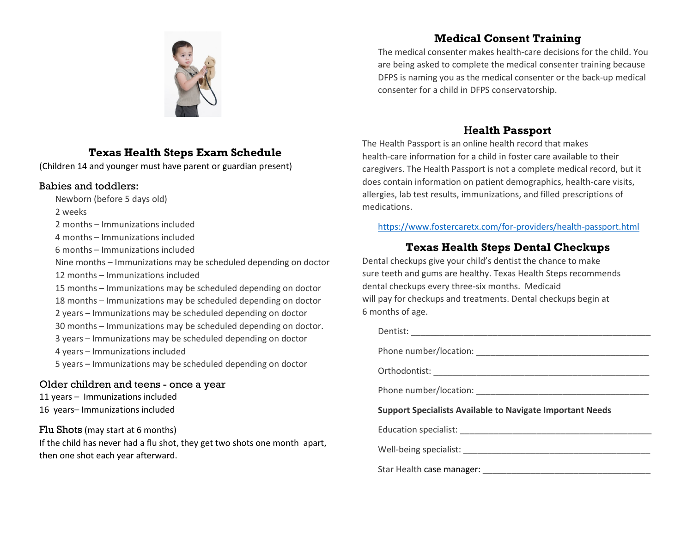

## **Texas Health Steps Exam Schedule**

(Children 14 and younger must have parent or guardian present)

#### Babies and toddlers:

Newborn (before 5 days old)

2 weeks

2 months – Immunizations included

4 months – Immunizations included

6 months – Immunizations included

Nine months – Immunizations may be scheduled depending on doctor 12 months – Immunizations included

15 months – Immunizations may be scheduled depending on doctor

18 months – Immunizations may be scheduled depending on doctor

2 years – Immunizations may be scheduled depending on doctor

30 months – Immunizations may be scheduled depending on doctor.

3 years – Immunizations may be scheduled depending on doctor

4 years – Immunizations included

5 years – Immunizations may be scheduled depending on doctor

#### Older children and teens - once a year

11 years – Immunizations included 16 years– Immunizations included

#### Flu Shots (may start at 6 months)

If the child has never had a flu shot, they get two shots one month apart, then one shot each year afterward.

## **Medical Consent Training**

The medical consenter makes health-care decisions for the child. You are being asked to complete the medical consenter training because DFPS is naming you as the medical consenter or the back-up medical consenter for a child in DFPS conservatorship.

## H**ealth Passport**

The Health Passport is an online health record that makes health-care information for a child in foster care available to their caregivers. The Health Passport is not a complete medical record, but it does contain information on patient demographics, health-care visits, allergies, lab test results, immunizations, and filled prescriptions of medications.

<https://www.fostercaretx.com/for-providers/health-passport.html>

## **Texas Health Steps Dental Checkups**

Dental checkups give your child's dentist the chance to make sure teeth and gums are healthy. Texas Health Steps recommends dental checkups every three-six months. Medicaid will pay for checkups and treatments. Dental checkups begin at 6 months of age.

Dentist: \_\_\_\_\_\_\_\_\_\_\_\_\_\_\_\_\_\_\_\_\_\_\_\_\_\_\_\_\_\_\_\_\_\_\_\_\_\_\_\_\_\_\_\_\_\_\_\_\_\_ Phone number/location: \_\_\_\_\_\_\_\_\_\_\_\_\_\_\_\_\_\_\_\_\_\_\_\_\_\_\_\_\_\_\_\_\_\_\_\_ Orthodontist: \_\_\_\_\_\_\_\_\_\_\_\_\_\_\_\_\_\_\_\_\_\_\_\_\_\_\_\_\_\_\_\_\_\_\_\_\_\_\_\_\_\_\_\_\_ Phone number/location: **Example 20 Support Specialists Available to Navigate Important Needs** Education specialist: \_\_\_\_\_\_\_\_\_\_\_\_\_\_\_\_\_\_\_\_\_\_\_\_\_\_\_\_\_\_\_\_\_\_\_\_\_\_\_\_ Well-being specialist: \_\_\_\_\_\_\_\_\_\_\_\_\_\_\_\_\_\_\_\_\_\_\_\_\_\_\_\_\_\_\_\_\_\_\_\_\_\_\_ Star Health case manager: \_\_\_\_\_\_\_\_\_\_\_\_\_\_\_\_\_\_\_\_\_\_\_\_\_\_\_\_\_\_\_\_\_\_\_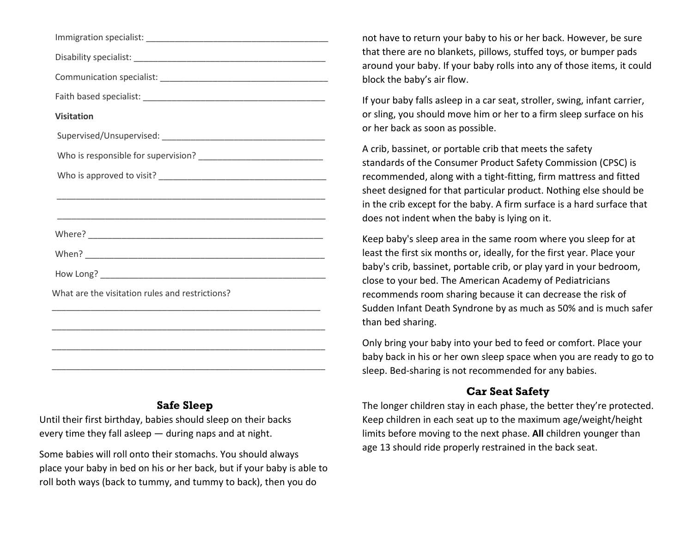| <b>Visitation</b>                                                                                                    |
|----------------------------------------------------------------------------------------------------------------------|
|                                                                                                                      |
|                                                                                                                      |
|                                                                                                                      |
|                                                                                                                      |
|                                                                                                                      |
|                                                                                                                      |
|                                                                                                                      |
| What are the visitation rules and restrictions?                                                                      |
| <u> 1989 - Andrea Santa Andrea Andrea Andrea Andrea Andrea Andrea Andrea Andrea Andrea Andrea Andrea Andrea Andr</u> |
| <u> 1989 - Johann John Stone, menydd y gweledd y gan y gan y gan y gan y gan y gan y gan y gan y gan y gan y gan</u> |
|                                                                                                                      |
|                                                                                                                      |

#### **Safe Sleep**

Until their first birthday, babies should sleep on their backs every time they fall asleep — during naps and at night.

Some babies will roll onto their stomachs. You should always place your baby in bed on his or her back, but if your baby is able to roll both ways (back to tummy, and tummy to back), then you do

not have to return your baby to his or her back. However, be sure that there are no blankets, pillows, stuffed toys, or bumper pads around your baby. If your baby rolls into any of those items, it could block the baby's air flow.

If your baby falls asleep in a [car seat,](https://www.healthychildren.org/English/safety-prevention/on-the-go/Pages/Car-Safety-Seats-Information-for-Families.aspx) stroller, swing, infant carrier, or sling, you should move him or her to a firm sleep surface on his or her back as soon as possible.

A crib, bassinet, or portable crib that meets the safety standards of the Consumer Product Safety Commission (CPSC) is recommended, along with a tight-fitting, firm mattress and fitted sheet designed for that particular product. Nothing else should be in the crib except for the baby. A firm surface is a hard surface that does not indent when the baby is lying on it.

Keep baby's sleep area in the same room where you sleep for at least the first six months or, ideally, for the first year. Place your baby's crib, bassinet, portable crib, or play yard in your bedroom, close to your bed. The American Academy of Pediatricians recommends room sharing because it can decrease the risk of Sudden Infant Death Syndrone by as much as 50% and is much safer than bed sharing.

Only bring your baby into your bed to feed or comfort. Place your baby back in his or her own sleep space when you are ready to go to sleep. Bed-sharing is not recommended for any babies.

## **Car Seat Safety**

The longer children stay in each phase, the better they're protected. Keep children in each seat up to the maximum age/weight/height limits before moving to the next phase. **All** children younger than age 13 should ride properly restrained in the back seat.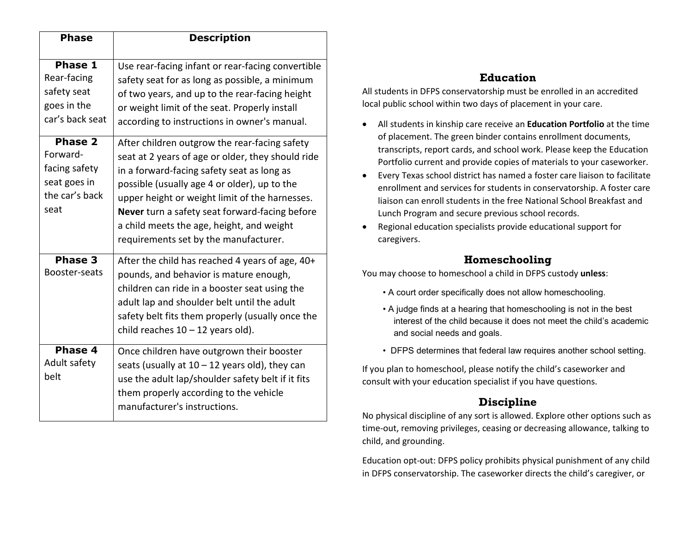| <b>Phase</b>                                                                          | <b>Description</b>                                                                                                                                                                                                                                                                                                                                                                         |
|---------------------------------------------------------------------------------------|--------------------------------------------------------------------------------------------------------------------------------------------------------------------------------------------------------------------------------------------------------------------------------------------------------------------------------------------------------------------------------------------|
| Phase 1<br>Rear-facing<br>safety seat<br>goes in the<br>car's back seat               | Use rear-facing infant or rear-facing convertible<br>safety seat for as long as possible, a minimum<br>of two years, and up to the rear-facing height<br>or weight limit of the seat. Properly install<br>according to instructions in owner's manual.                                                                                                                                     |
| <b>Phase 2</b><br>Forward-<br>facing safety<br>seat goes in<br>the car's back<br>seat | After children outgrow the rear-facing safety<br>seat at 2 years of age or older, they should ride<br>in a forward-facing safety seat as long as<br>possible (usually age 4 or older), up to the<br>upper height or weight limit of the harnesses.<br>Never turn a safety seat forward-facing before<br>a child meets the age, height, and weight<br>requirements set by the manufacturer. |
| Phase 3<br>Booster-seats                                                              | After the child has reached 4 years of age, 40+<br>pounds, and behavior is mature enough,<br>children can ride in a booster seat using the<br>adult lap and shoulder belt until the adult<br>safety belt fits them properly (usually once the<br>child reaches $10 - 12$ years old).                                                                                                       |
| <b>Phase 4</b><br>Adult safety<br>belt                                                | Once children have outgrown their booster<br>seats (usually at $10 - 12$ years old), they can<br>use the adult lap/shoulder safety belt if it fits<br>them properly according to the vehicle<br>manufacturer's instructions.                                                                                                                                                               |

## **Education**

All students in DFPS conservatorship must be enrolled in an accredited local public school within two days of placement in your care.

- All students in kinship care receive an **Education Portfolio** at the time of placement. The green binder contains enrollment documents, transcripts, report cards, and school work. Please keep the Education Portfolio current and provide copies of materials to your caseworker.
- Every Texas school district has named a foster care liaison to facilitate enrollment and services for students in conservatorship. A foster care liaison can enroll students in the free National School Breakfast and Lunch Program and secure previous school records.
- Regional education specialists provide educational support for caregivers.

## **Homeschooling**

You may choose to homeschool a child in DFPS custody **unless**:

- A court order specifically does not allow homeschooling.
- A judge finds at a hearing that homeschooling is not in the best interest of the child because it does not meet the child's academic and social needs and goals.
- DFPS determines that federal law requires another school setting.

If you plan to homeschool, please notify the child's caseworker and consult with your education specialist if you have questions.

## **Discipline**

No physical discipline of any sort is allowed. Explore other options such as time-out, removing privileges, ceasing or decreasing allowance, talking to child, and grounding.

Education opt-out: DFPS policy prohibits physical punishment of any child in DFPS conservatorship. The caseworker directs the child's caregiver, or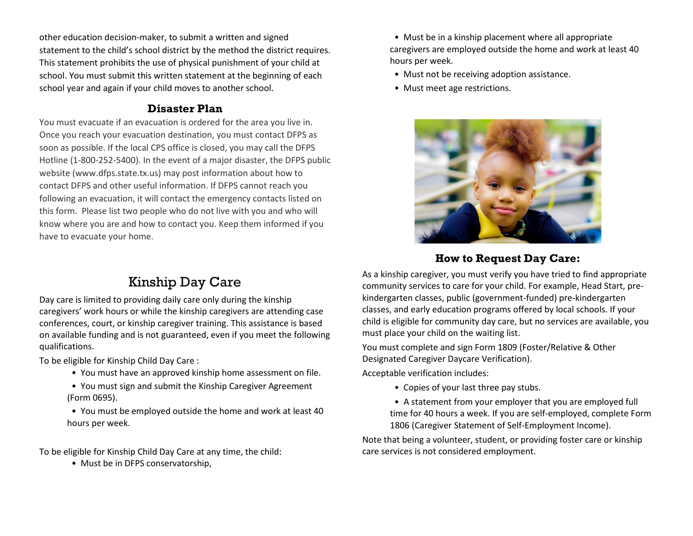other education decision-maker, to submit a written and signed statement to the child's school district by the method the district requires. This statement prohibits the use of physical punishment of your child at school. You must submit this written statement at the beginning of each school year and again if your child moves to another school.

## **Disaster Plan**

You must evacuate if an evacuation is ordered for the area you live in. Once you reach your evacuation destination, you must contact DFPS as soon as possible. If the local CPS office is closed, you may call the DFPS Hotline (1-800-252-5400). In the event of a major disaster, the DFPS public website (www.dfps.state.tx.us) may post information about how to contact DFPS and other useful information. If DFPS cannot reach you following an evacuation, it will contact the emergency contacts listed on this form. Please list two people who do not live with you and who will know where you are and how to contact you. Keep them informed if you have to evacuate your home.

# Kinship Day Care

Day care is limited to providing daily care only during the kinship caregivers' work hours or while the kinship caregivers are attending case conferences, court, or kinship caregiver training. This assistance is based on available funding and is not guaranteed, even if you meet the following qualifications.

To be eligible for Kinship Child Day Care :

- You must have an approved kinship home assessment on file.
- You must sign and submit the Kinship Caregiver Agreement (Form 0695).
- You must be employed outside the home and work at least 40 hours per week.

To be eligible for Kinship Child Day Care at any time, the child:

• Must be in DFPS conservatorship,

 • Must be in a kinship placement where all appropriate caregivers are employed outside the home and work at least 40 hours per week.

- Must not be receiving adoption assistance.
- Must meet age restrictions.



## **How to Request Day Care:**

As a kinship caregiver, you must verify you have tried to find appropriate community services to care for your child. For example, Head Start, prekindergarten classes, public (government-funded) pre-kindergarten classes, and early education programs offered by local schools. If your child is eligible for community day care, but no services are available, you must place your child on the waiting list.

You must complete and sign Form 1809 (Foster/Relative & Other Designated Caregiver Daycare Verification).

Acceptable verification includes:

• Copies of your last three pay stubs.

 • A statement from your employer that you are employed full time for 40 hours a week. If you are self-employed, complete Form 1806 (Caregiver Statement of Self-Employment Income).

Note that being a volunteer, student, or providing foster care or kinship care services is not considered employment.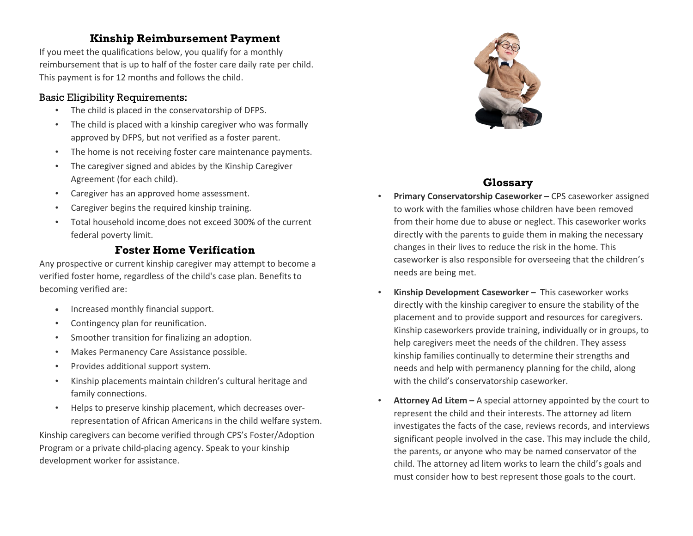#### **Kinship Reimbursement Payment**

If you meet the qualifications below, you qualify for a monthly reimbursement that is up to half of the foster care daily rate per child. This payment is for 12 months and follows the child.

#### Basic Eligibility Requirements:

- The child is placed in the conservatorship of DFPS.
- The child is placed with a kinship caregiver who was formally approved by DFPS, but not verified as a foster parent.
- The home is not receiving foster care maintenance payments.
- The caregiver signed and abides by the Kinship Caregiver Agreement (for each child).
- Caregiver has an approved home assessment.
- Caregiver begins the required kinship training.
- Total household income does not exceed 300% of the current federal poverty limit.

## **Foster Home Verification**

Any prospective or current kinship caregiver may attempt to become a verified foster home, regardless of the child's case plan. Benefits to becoming verified are:

- Increased monthly financial support.
- Contingency plan for reunification.
- Smoother transition for finalizing an adoption.
- Makes Permanency Care Assistance possible.
- Provides additional support system.
- Kinship placements maintain children's cultural heritage and family connections.
- Helps to preserve kinship placement, which decreases overrepresentation of African Americans in the child welfare system.

Kinship caregivers can become verified through CPS's Foster/Adoption Program or a private child-placing agency. Speak to your kinship development worker for assistance.



## **Glossary**

- **Primary Conservatorship Caseworker –** CPS caseworker assigned to work with the families whose children have been removed from their home due to abuse or neglect. This caseworker works directly with the parents to guide them in making the necessary changes in their lives to reduce the risk in the home. This caseworker is also responsible for overseeing that the children's needs are being met.
- **Kinship Development Caseworker –** This caseworker works directly with the kinship caregiver to ensure the stability of the placement and to provide support and resources for caregivers. Kinship caseworkers provide training, individually or in groups, to help caregivers meet the needs of the children. They assess kinship families continually to determine their strengths and needs and help with permanency planning for the child, along with the child's conservatorship caseworker.
- **Attorney Ad Litem –** A special attorney appointed by the court to represent the child and their interests. The attorney ad litem investigates the facts of the case, reviews records, and interviews significant people involved in the case. This may include the child, the parents, or anyone who may be named conservator of the child. The attorney ad litem works to learn the child's goals and must consider how to best represent those goals to the court.